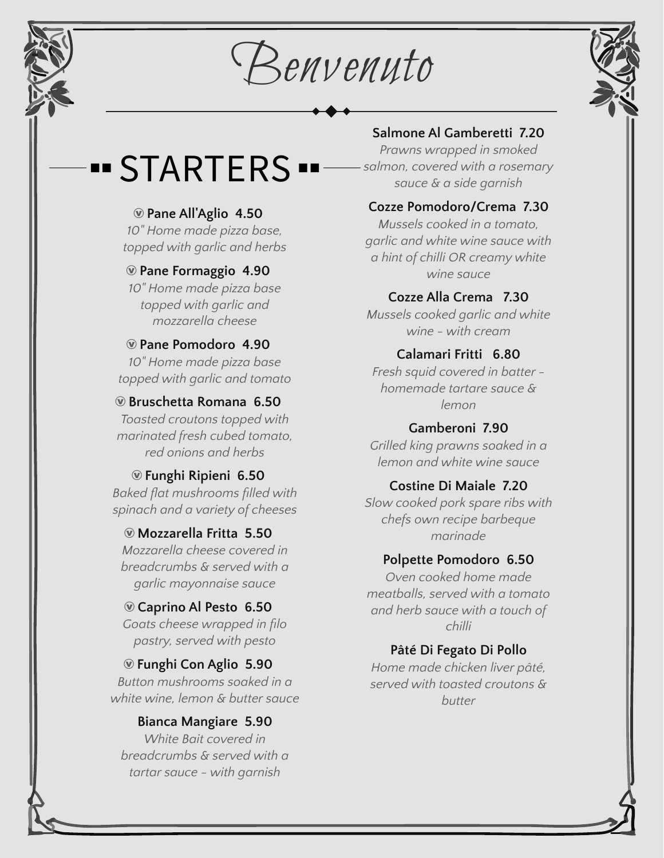Benvenuto



## STARTERS

## Æ **Pane All'Aglio 4.50**

*10" Home made pizza base, topped with garlic and herbs*

#### Æ **Pane Formaggio 4.90**

*10" Home made pizza base topped with garlic and mozzarella cheese*

#### Æ **Pane Pomodoro 4.90** *10" Home made pizza base*

*topped with garlic and tomato*

#### Æ **Bruschetta Romana 6.50**

*Toasted croutons topped with marinated fresh cubed tomato, red onions and herbs*

#### Æ **Funghi Ripieni 6.50** *Baked flat mushrooms filled with spinach and a variety of cheeses*

Æ **Mozzarella Fritta 5.50**

*Mozzarella cheese covered in breadcrumbs & served with a garlic mayonnaise sauce*

## Æ **Caprino Al Pesto 6.50**

*Goats cheese wrapped in filo pastry, served with pesto*

#### Æ **Funghi Con Aglio 5.90**

*Button mushrooms soaked in a white wine, lemon & butter sauce*

#### **Bianca Mangiare 5.90**

*White Bait covered in breadcrumbs & served with a tartar sauce - with garnish*

## **Salmone Al Gamberetti 7.20**

*Prawns wrapped in smoked salmon, covered with a rosemary sauce & a side garnish*

#### **Cozze Pomodoro/Crema 7.30**

*Mussels cooked in a tomato, garlic and white wine sauce with a hint of chilli OR creamy white wine sauce*

#### **Cozze Alla Crema 7.30**

*Mussels cooked garlic and white wine - with cream*

#### **Calamari Fritti 6.80**

*Fresh squid covered in batter homemade tartare sauce & lemon*

### **Gamberoni 7.90**

*Grilled king prawns soaked in a lemon and white wine sauce*

#### **Costine Di Maiale 7.20**

*Slow cooked pork spare ribs with chefs own recipe barbeque marinade*

#### **Polpette Pomodoro 6.50**

*Oven cooked home made meatballs, served with a tomato and herb sauce with a touch of chilli*

## **Pâté Di Fegato Di Pollo**

*Home made chicken liver pâté, served with toasted croutons & butter*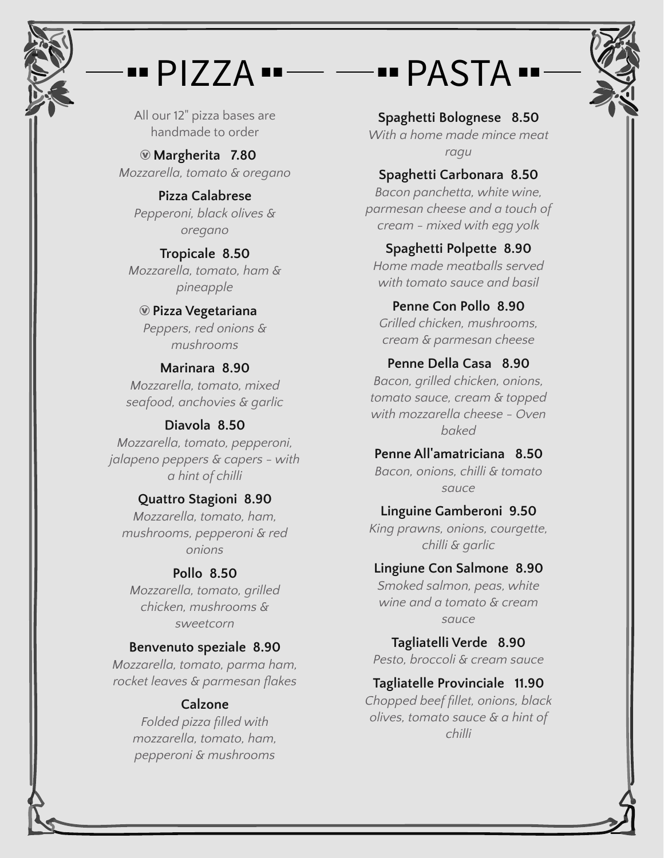## PIZZA ..  $\begin{array}{c} \rule{0.2cm}{0.15mm} \rule{0.2cm}{0.15mm} \rule{0.2cm}{0.15mm} \rule{0.2cm}{0.15mm} \rule{0.2cm}{0.15mm} \rule{0.2cm}{0.15mm} \rule{0.2cm}{0.15mm} \rule{0.2cm}{0.15mm} \rule{0.2cm}{0.15mm} \rule{0.2cm}{0.15mm} \rule{0.2cm}{0.15mm} \rule{0.2cm}{0.15mm} \rule{0.2cm}{0.15mm} \rule{0.2cm}{0.15mm} \rule{0.2cm}{0.15mm} \rule{$

All our 12" pizza bases are handmade to order

Æ **Margherita 7.80** *Mozzarella, tomato & oregano*

**Pizza Calabrese** *Pepperoni, black olives & oregano*

**Tropicale 8.50** *Mozzarella, tomato, ham & pineapple*

#### Æ **Pizza Vegetariana** *Peppers, red onions & mushrooms*

**Marinara 8.90** *Mozzarella, tomato, mixed*

*seafood, anchovies & garlic*

## **Diavola 8.50**

*Mozzarella, tomato, pepperoni, jalapeno peppers & capers - with a hint of chilli*

## **Quattro Stagioni 8.90**

*Mozzarella, tomato, ham, mushrooms, pepperoni & red onions*

## **Pollo 8.50**

*Mozzarella, tomato, grilled chicken, mushrooms & sweetcorn*

## **Benvenuto speziale 8.90**

*Mozzarella, tomato, parma ham, rocket leaves & parmesan flakes*

## **Calzone**

*Folded pizza filled with mozzarella, tomato, ham, pepperoni & mushrooms*

# **...** PASTA ..

**Spaghetti Bolognese 8.50** *With a home made mince meat ragu*

## **Spaghetti Carbonara 8.50**

*Bacon panchetta, white wine, parmesan cheese and a touch of cream - mixed with egg yolk*

## **Spaghetti Polpette 8.90**

*Home made meatballs served with tomato sauce and basil*

## **Penne Con Pollo 8.90**

*Grilled chicken, mushrooms, cream & parmesan cheese*

## **Penne Della Casa 8.90**

*Bacon, grilled chicken, onions, tomato sauce, cream & topped with mozzarella cheese - Oven baked*

## **Penne All'amatriciana 8.50**

*Bacon, onions, chilli & tomato sauce*

## **Linguine Gamberoni 9.50**

*King prawns, onions, courgette, chilli & garlic*

## **Lingiune Con Salmone 8.90**

*Smoked salmon, peas, white wine and a tomato & cream sauce*

**Tagliatelli Verde 8.90** *Pesto, broccoli & cream sauce*

## **Tagliatelle Provinciale 11.90**

*Chopped beef fillet, onions, black olives, tomato sauce & a hint of chilli*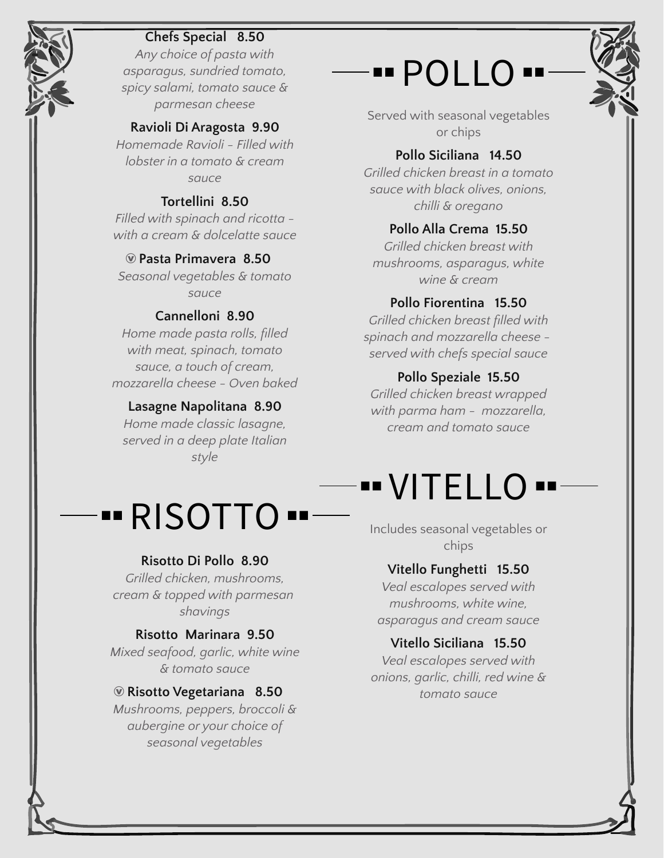## **Chefs Special 8.50**

*Any choice of pasta with asparagus, sundried tomato, spicy salami, tomato sauce & parmesan cheese*

#### **Ravioli Di Aragosta 9.90**

*Homemade Ravioli - Filled with lobster in a tomato & cream sauce*

#### **Tortellini 8.50**

*Filled with spinach and ricotta with a cream & dolcelatte sauce*

#### Æ **Pasta Primavera 8.50**

*Seasonal vegetables & tomato sauce*

#### **Cannelloni 8.90**

*Home made pasta rolls, filled with meat, spinach, tomato sauce, a touch of cream, mozzarella cheese - Oven baked*

#### **Lasagne Napolitana 8.90**

*Home made classic lasagne, served in a deep plate Italian style*

# POLLO

Served with seasonal vegetables or chips

#### **Pollo Siciliana 14.50**

*Grilled chicken breast in a tomato sauce with black olives, onions, chilli & oregano*

#### **Pollo Alla Crema 15.50**

*Grilled chicken breast with mushrooms, asparagus, white wine & cream*

#### **Pollo Fiorentina 15.50**

*Grilled chicken breast filled with spinach and mozzarella cheese served with chefs special sauce*

#### **Pollo Speziale 15.50**

*Grilled chicken breast wrapped with parma ham - mozzarella, cream and tomato sauce*

## VITELLO

# RISOTTO

#### **Risotto Di Pollo 8.90**

*Grilled chicken, mushrooms, cream & topped with parmesan shavings*

#### **Risotto Marinara 9.50**

*Mixed seafood, garlic, white wine & tomato sauce*

#### Æ **Risotto Vegetariana 8.50**

*Mushrooms, peppers, broccoli & aubergine or your choice of seasonal vegetables*

Includes seasonal vegetables or chips

#### **Vitello Funghetti 15.50**

*Veal escalopes served with mushrooms, white wine, asparagus and cream sauce*

#### **Vitello Siciliana 15.50**

*Veal escalopes served with onions, garlic, chilli, red wine & tomato sauce*